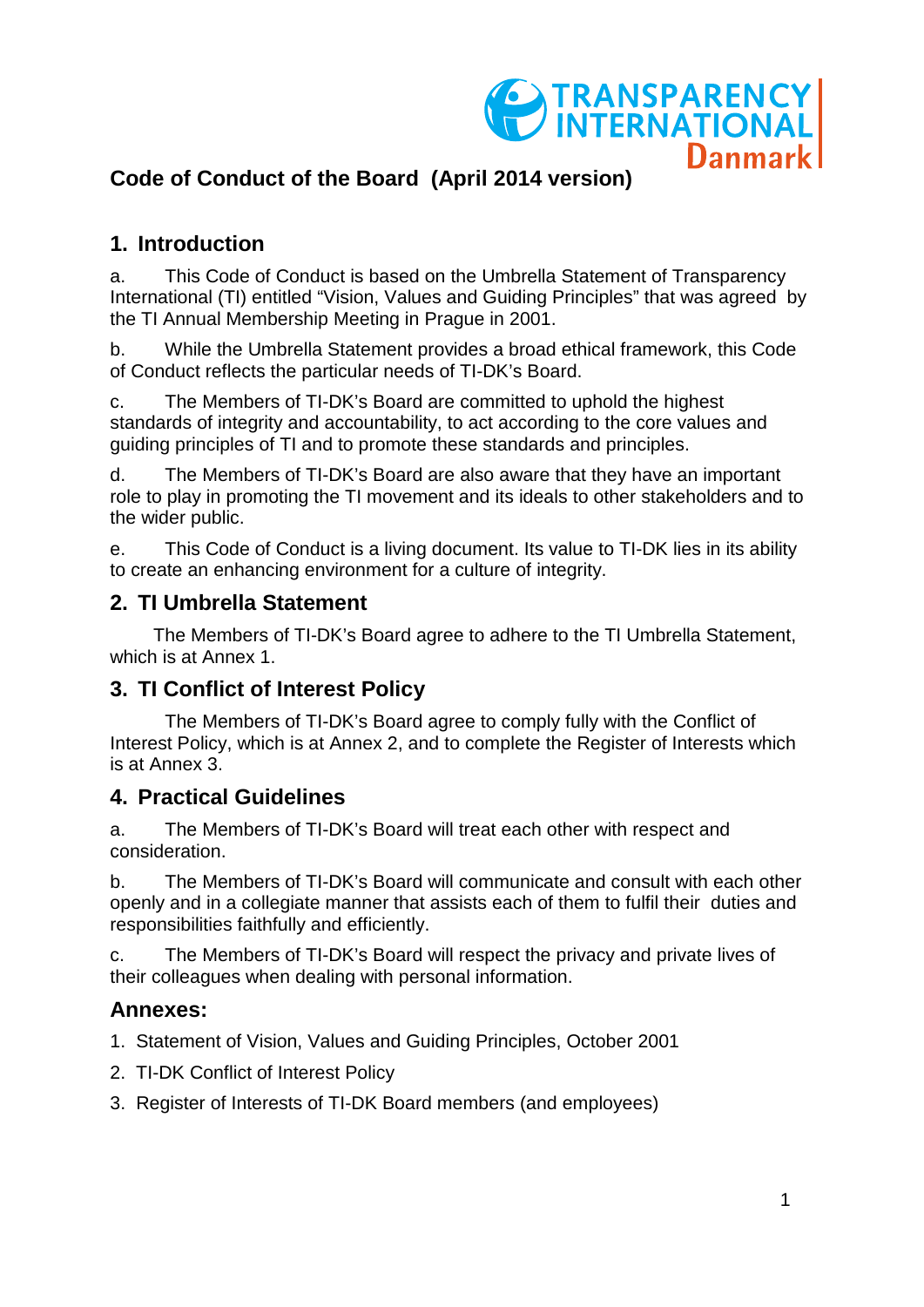

# **Code of Conduct of the Board (April 2014 version)**

## **1. Introduction**

a. This Code of Conduct is based on the Umbrella Statement of Transparency International (TI) entitled "Vision, Values and Guiding Principles" that was agreed by the TI Annual Membership Meeting in Prague in 2001.

b. While the Umbrella Statement provides a broad ethical framework, this Code of Conduct reflects the particular needs of TI-DK's Board.

c. The Members of TI-DK's Board are committed to uphold the highest standards of integrity and accountability, to act according to the core values and guiding principles of TI and to promote these standards and principles.

d. The Members of TI-DK's Board are also aware that they have an important role to play in promoting the TI movement and its ideals to other stakeholders and to the wider public.

e. This Code of Conduct is a living document. Its value to TI-DK lies in its ability to create an enhancing environment for a culture of integrity.

#### **2. TI Umbrella Statement**

The Members of TI-DK's Board agree to adhere to the TI Umbrella Statement, which is at Annex 1.

### **3. TI Conflict of Interest Policy**

The Members of TI-DK's Board agree to comply fully with the Conflict of Interest Policy, which is at Annex 2, and to complete the Register of Interests which is at Annex 3.

### **4. Practical Guidelines**

a. The Members of TI-DK's Board will treat each other with respect and consideration.

b. The Members of TI-DK's Board will communicate and consult with each other openly and in a collegiate manner that assists each of them to fulfil their duties and responsibilities faithfully and efficiently.

c. The Members of TI-DK's Board will respect the privacy and private lives of their colleagues when dealing with personal information.

### **Annexes:**

1. Statement of Vision, Values and Guiding Principles, October 2001

- 2. TI-DK Conflict of Interest Policy
- 3. Register of Interests of TI-DK Board members (and employees)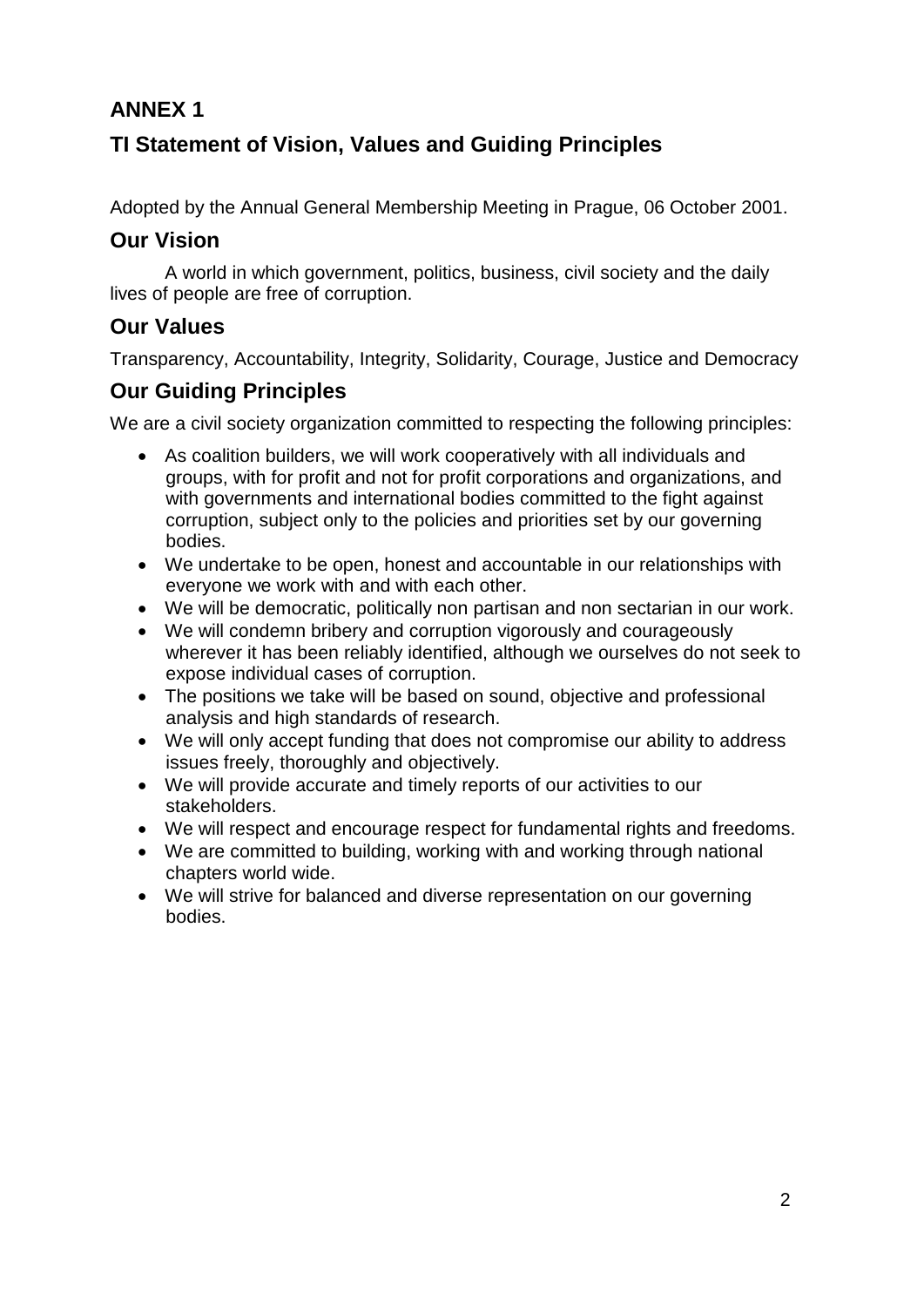## **ANNEX 1**

# **TI Statement of Vision, Values and Guiding Principles**

Adopted by the Annual General Membership Meeting in Prague, 06 October 2001.

### **Our Vision**

A world in which government, politics, business, civil society and the daily lives of people are free of corruption.

### **Our Values**

Transparency, Accountability, Integrity, Solidarity, Courage, Justice and Democracy

## **Our Guiding Principles**

We are a civil society organization committed to respecting the following principles:

- As coalition builders, we will work cooperatively with all individuals and groups, with for profit and not for profit corporations and organizations, and with governments and international bodies committed to the fight against corruption, subject only to the policies and priorities set by our governing bodies.
- We undertake to be open, honest and accountable in our relationships with everyone we work with and with each other.
- We will be democratic, politically non partisan and non sectarian in our work.
- We will condemn bribery and corruption vigorously and courageously wherever it has been reliably identified, although we ourselves do not seek to expose individual cases of corruption.
- The positions we take will be based on sound, objective and professional analysis and high standards of research.
- We will only accept funding that does not compromise our ability to address issues freely, thoroughly and objectively.
- We will provide accurate and timely reports of our activities to our stakeholders.
- We will respect and encourage respect for fundamental rights and freedoms.
- We are committed to building, working with and working through national chapters world wide.
- We will strive for balanced and diverse representation on our governing bodies.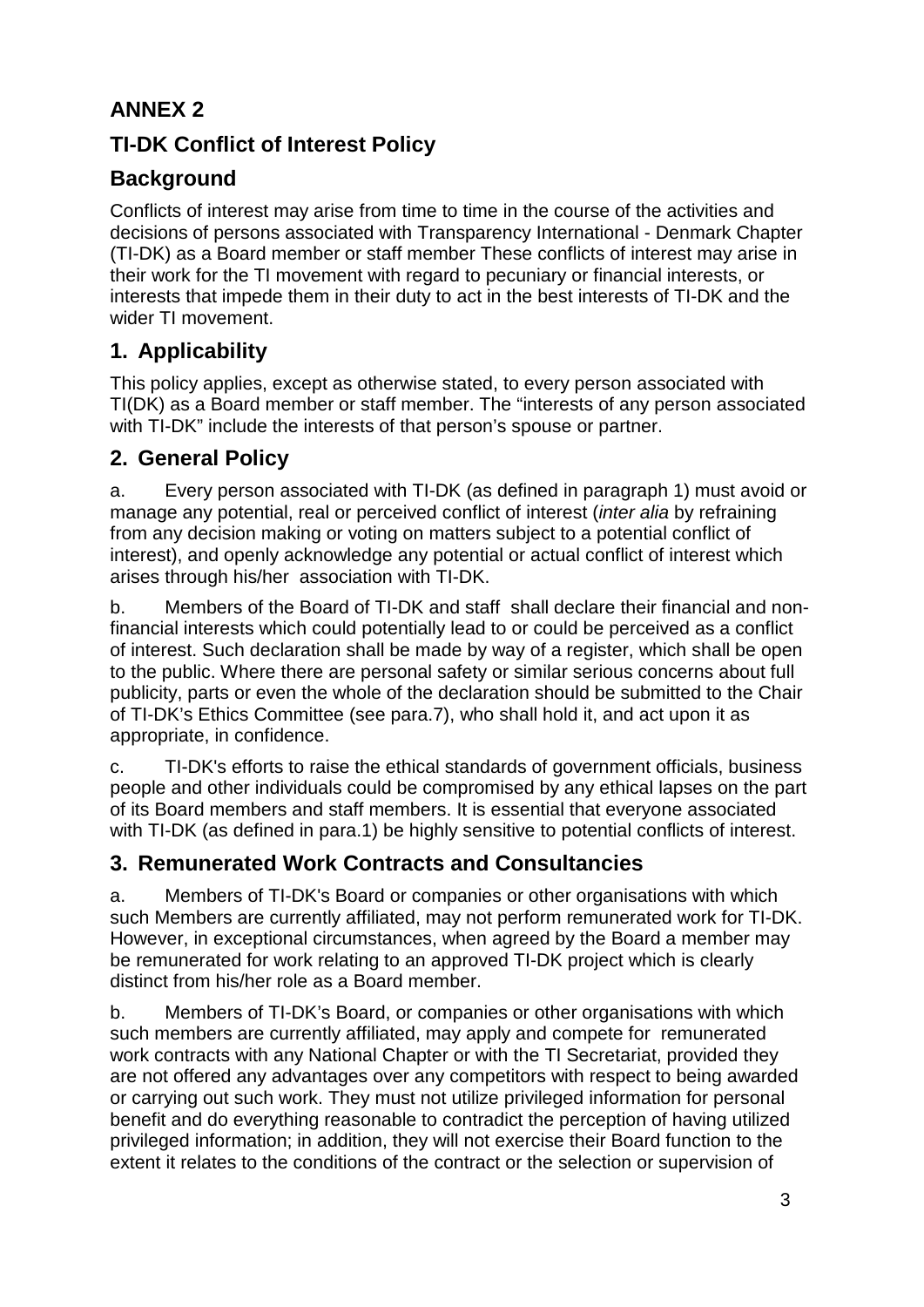# **ANNEX 2**

# **TI-DK Conflict of Interest Policy**

# **Background**

Conflicts of interest may arise from time to time in the course of the activities and decisions of persons associated with Transparency International - Denmark Chapter (TI-DK) as a Board member or staff member These conflicts of interest may arise in their work for the TI movement with regard to pecuniary or financial interests, or interests that impede them in their duty to act in the best interests of TI-DK and the wider TI movement.

# **1. Applicability**

This policy applies, except as otherwise stated, to every person associated with TI(DK) as a Board member or staff member. The "interests of any person associated with TI-DK" include the interests of that person's spouse or partner.

## **2. General Policy**

a. Every person associated with TI-DK (as defined in paragraph 1) must avoid or manage any potential, real or perceived conflict of interest (*inter alia* by refraining from any decision making or voting on matters subject to a potential conflict of interest), and openly acknowledge any potential or actual conflict of interest which arises through his/her association with TI-DK.

b. Members of the Board of TI-DK and staff shall declare their financial and nonfinancial interests which could potentially lead to or could be perceived as a conflict of interest. Such declaration shall be made by way of a register, which shall be open to the public. Where there are personal safety or similar serious concerns about full publicity, parts or even the whole of the declaration should be submitted to the Chair of TI-DK's Ethics Committee (see para.7), who shall hold it, and act upon it as appropriate, in confidence.

c. TI-DK's efforts to raise the ethical standards of government officials, business people and other individuals could be compromised by any ethical lapses on the part of its Board members and staff members. It is essential that everyone associated with TI-DK (as defined in para.1) be highly sensitive to potential conflicts of interest.

# **3. Remunerated Work Contracts and Consultancies**

a. Members of TI-DK's Board or companies or other organisations with which such Members are currently affiliated, may not perform remunerated work for TI-DK. However, in exceptional circumstances, when agreed by the Board a member may be remunerated for work relating to an approved TI-DK project which is clearly distinct from his/her role as a Board member.

b. Members of TI-DK's Board, or companies or other organisations with which such members are currently affiliated, may apply and compete for remunerated work contracts with any National Chapter or with the TI Secretariat, provided they are not offered any advantages over any competitors with respect to being awarded or carrying out such work. They must not utilize privileged information for personal benefit and do everything reasonable to contradict the perception of having utilized privileged information; in addition, they will not exercise their Board function to the extent it relates to the conditions of the contract or the selection or supervision of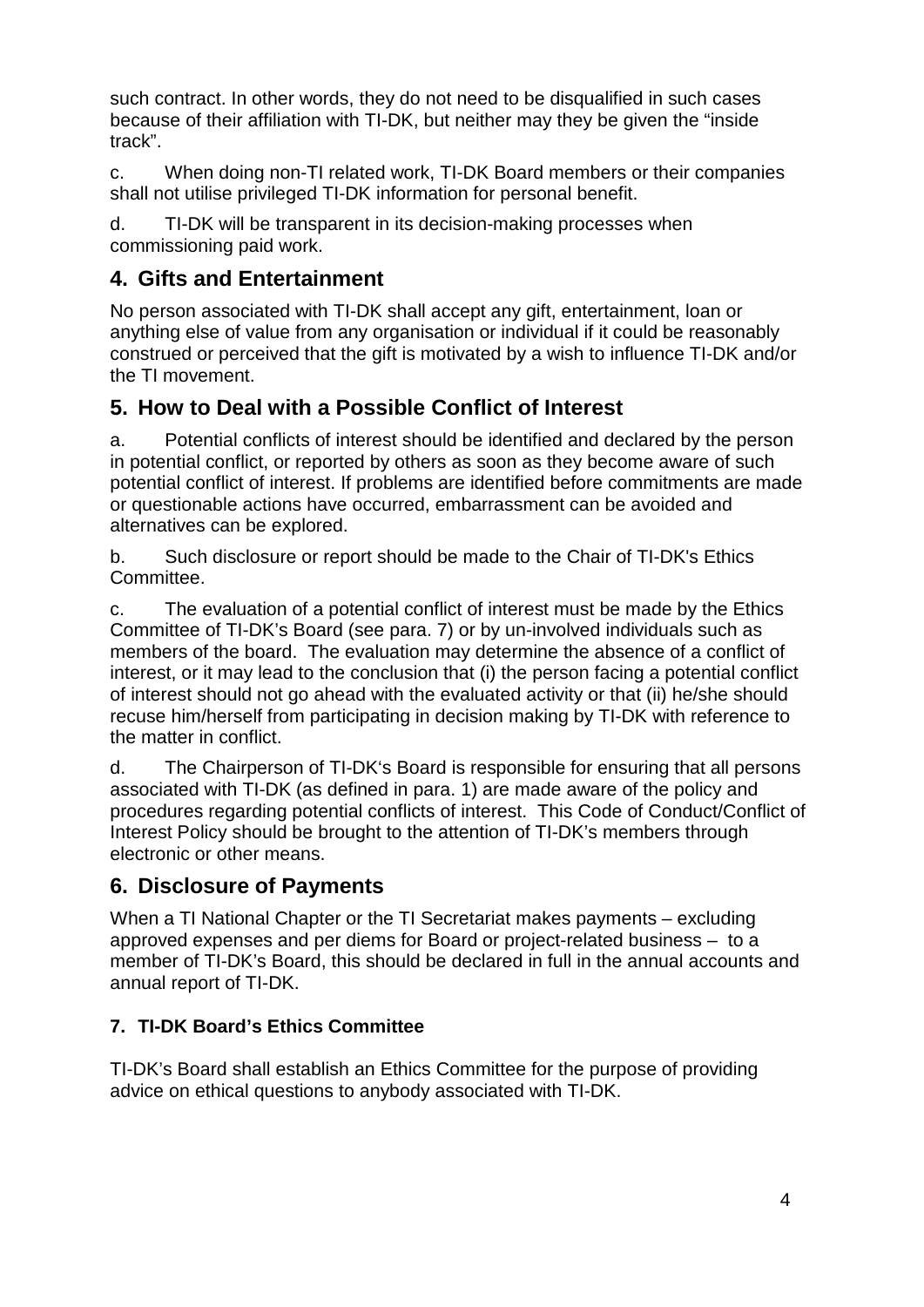such contract. In other words, they do not need to be disqualified in such cases because of their affiliation with TI-DK, but neither may they be given the "inside track".

c. When doing non-TI related work, TI-DK Board members or their companies shall not utilise privileged TI-DK information for personal benefit.

d. TI-DK will be transparent in its decision-making processes when commissioning paid work.

## **4. Gifts and Entertainment**

No person associated with TI-DK shall accept any gift, entertainment, loan or anything else of value from any organisation or individual if it could be reasonably construed or perceived that the gift is motivated by a wish to influence TI-DK and/or the TI movement.

## **5. How to Deal with a Possible Conflict of Interest**

a. Potential conflicts of interest should be identified and declared by the person in potential conflict, or reported by others as soon as they become aware of such potential conflict of interest. If problems are identified before commitments are made or questionable actions have occurred, embarrassment can be avoided and alternatives can be explored.

b. Such disclosure or report should be made to the Chair of TI-DK's Ethics Committee.

c. The evaluation of a potential conflict of interest must be made by the Ethics Committee of TI-DK's Board (see para. 7) or by un-involved individuals such as members of the board. The evaluation may determine the absence of a conflict of interest, or it may lead to the conclusion that (i) the person facing a potential conflict of interest should not go ahead with the evaluated activity or that (ii) he/she should recuse him/herself from participating in decision making by TI-DK with reference to the matter in conflict.

d. The Chairperson of TI-DK's Board is responsible for ensuring that all persons associated with TI-DK (as defined in para. 1) are made aware of the policy and procedures regarding potential conflicts of interest. This Code of Conduct/Conflict of Interest Policy should be brought to the attention of TI-DK's members through electronic or other means.

## **6. Disclosure of Payments**

When a TI National Chapter or the TI Secretariat makes payments – excluding approved expenses and per diems for Board or project-related business – to a member of TI-DK's Board, this should be declared in full in the annual accounts and annual report of TI-DK.

### **7. TI-DK Board's Ethics Committee**

TI-DK's Board shall establish an Ethics Committee for the purpose of providing advice on ethical questions to anybody associated with TI-DK.